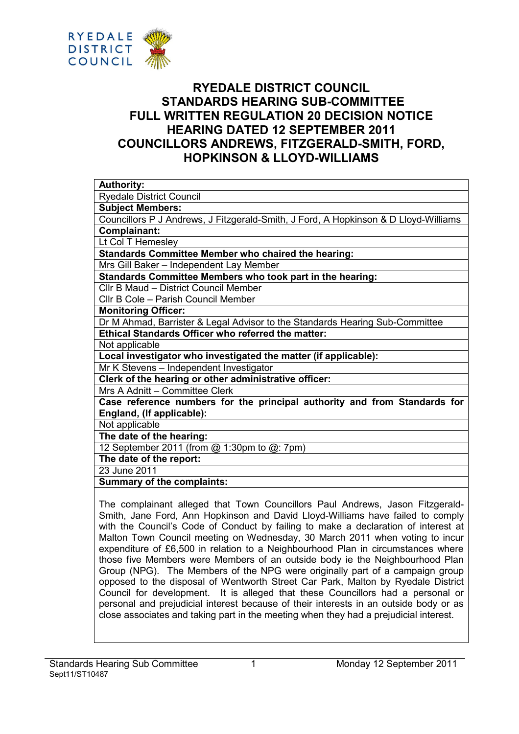

# RYEDALE DISTRICT COUNCIL STANDARDS HEARING SUB-COMMITTEE FULL WRITTEN REGULATION 20 DECISION NOTICE HEARING DATED 12 SEPTEMBER 2011 COUNCILLORS ANDREWS, FITZGERALD-SMITH, FORD, HOPKINSON & LLOYD-WILLIAMS

Council for development. It is alleged that these Councillors had a personal or personal and prejudicial interest because of their interests in an outside body or as close associates and taking part in the meeting when they had a prejudicial interest.

opposed to the disposal of Wentworth Street Car Park, Malton by Ryedale District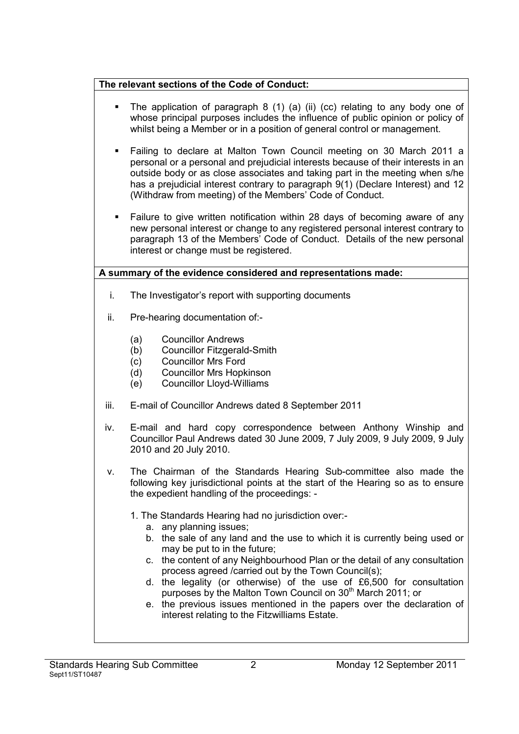### The relevant sections of the Code of Conduct:

- § The application of paragraph 8 (1) (a) (ii) (cc) relating to any body one of whose principal purposes includes the influence of public opinion or policy of whilst being a Member or in a position of general control or management.
- § Failing to declare at Malton Town Council meeting on 30 March 2011 a personal or a personal and prejudicial interests because of their interests in an outside body or as close associates and taking part in the meeting when s/he has a prejudicial interest contrary to paragraph 9(1) (Declare Interest) and 12 (Withdraw from meeting) of the Members' Code of Conduct.
- Failure to give written notification within 28 days of becoming aware of any new personal interest or change to any registered personal interest contrary to paragraph 13 of the Members' Code of Conduct. Details of the new personal interest or change must be registered.

## A summary of the evidence considered and representations made:

- i. The Investigator's report with supporting documents
- ii. Pre-hearing documentation of:-
	- (a) Councillor Andrews
	- (b) Councillor Fitzgerald-Smith
	- (c) Councillor Mrs Ford
	- (d) Councillor Mrs Hopkinson
	- (e) Councillor Lloyd-Williams
- iii. E-mail of Councillor Andrews dated 8 September 2011
- iv. E-mail and hard copy correspondence between Anthony Winship and Councillor Paul Andrews dated 30 June 2009, 7 July 2009, 9 July 2009, 9 July 2010 and 20 July 2010.
- v. The Chairman of the Standards Hearing Sub-committee also made the following key jurisdictional points at the start of the Hearing so as to ensure the expedient handling of the proceedings: -

1. The Standards Hearing had no jurisdiction over:-

- a. any planning issues;
- b. the sale of any land and the use to which it is currently being used or may be put to in the future;
- c. the content of any Neighbourhood Plan or the detail of any consultation process agreed /carried out by the Town Council(s);
- d. the legality (or otherwise) of the use of £6,500 for consultation purposes by the Malton Town Council on 30<sup>th</sup> March 2011; or
- e. the previous issues mentioned in the papers over the declaration of interest relating to the Fitzwilliams Estate.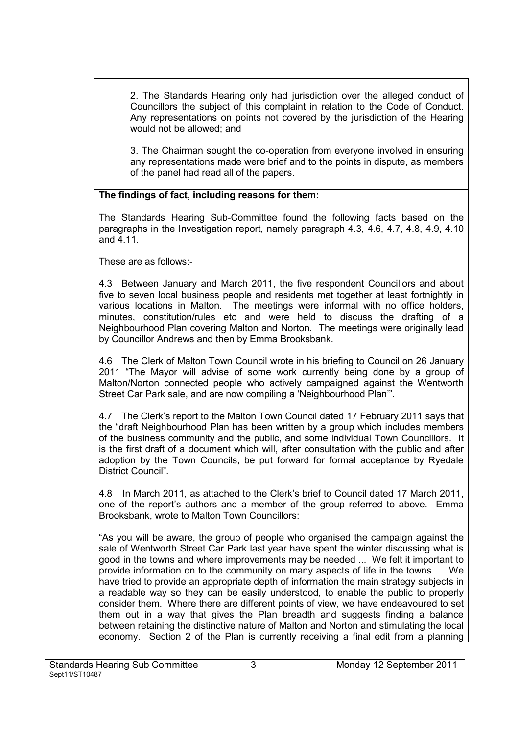2. The Standards Hearing only had jurisdiction over the alleged conduct of Councillors the subject of this complaint in relation to the Code of Conduct. Any representations on points not covered by the jurisdiction of the Hearing would not be allowed; and

3. The Chairman sought the co-operation from everyone involved in ensuring any representations made were brief and to the points in dispute, as members of the panel had read all of the papers.

#### The findings of fact, including reasons for them:

The Standards Hearing Sub-Committee found the following facts based on the paragraphs in the Investigation report, namely paragraph 4.3, 4.6, 4.7, 4.8, 4.9, 4.10 and 4.11.

These are as follows:-

4.3 Between January and March 2011, the five respondent Councillors and about five to seven local business people and residents met together at least fortnightly in various locations in Malton. The meetings were informal with no office holders, minutes, constitution/rules etc and were held to discuss the drafting of a Neighbourhood Plan covering Malton and Norton. The meetings were originally lead by Councillor Andrews and then by Emma Brooksbank.

4.6 The Clerk of Malton Town Council wrote in his briefing to Council on 26 January 2011 "The Mayor will advise of some work currently being done by a group of Malton/Norton connected people who actively campaigned against the Wentworth Street Car Park sale, and are now compiling a 'Neighbourhood Plan'".

4.7 The Clerk's report to the Malton Town Council dated 17 February 2011 says that the "draft Neighbourhood Plan has been written by a group which includes members of the business community and the public, and some individual Town Councillors. It is the first draft of a document which will, after consultation with the public and after adoption by the Town Councils, be put forward for formal acceptance by Ryedale District Council".

4.8 In March 2011, as attached to the Clerk's brief to Council dated 17 March 2011, one of the report's authors and a member of the group referred to above. Emma Brooksbank, wrote to Malton Town Councillors:

"As you will be aware, the group of people who organised the campaign against the sale of Wentworth Street Car Park last year have spent the winter discussing what is good in the towns and where improvements may be needed ... We felt it important to provide information on to the community on many aspects of life in the towns ... We have tried to provide an appropriate depth of information the main strategy subjects in a readable way so they can be easily understood, to enable the public to properly consider them. Where there are different points of view, we have endeavoured to set them out in a way that gives the Plan breadth and suggests finding a balance between retaining the distinctive nature of Malton and Norton and stimulating the local economy. Section 2 of the Plan is currently receiving a final edit from a planning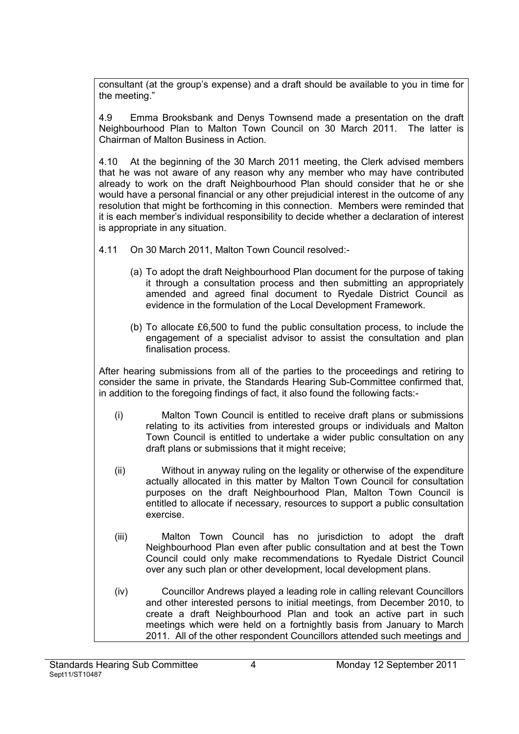consultant (at the group's expense) and a draft should be available to you in time for the meeting."

4.9 Emma Brooksbank and Denys Townsend made a presentation on the draft Neighbourhood Plan to Malton Town Council on 30 March 2011. The latter is Chairman of Malton Business in Action.

4.10 At the beginning of the 30 March 2011 meeting, the Clerk advised members that he was not aware of any reason why any member who may have contributed already to work on the draft Neighbourhood Plan should consider that he or she would have a personal financial or any other prejudicial interest in the outcome of any resolution that might be forthcoming in this connection. Members were reminded that it is each member's individual responsibility to decide whether a declaration of interest is appropriate in any situation.

4.11 On 30 March 2011, Malton Town Council resolved:-

- (a) To adopt the draft Neighbourhood Plan document for the purpose of taking it through a consultation process and then submitting an appropriately amended and agreed final document to Ryedale District Council as evidence in the formulation of the Local Development Framework.
- (b) To allocate £6,500 to fund the public consultation process, to include the engagement of a specialist advisor to assist the consultation and plan finalisation process.

After hearing submissions from all of the parties to the proceedings and retiring to consider the same in private, the Standards Hearing Sub-Committee confirmed that, in addition to the foregoing findings of fact, it also found the following facts:-

- (i) Malton Town Council is entitled to receive draft plans or submissions relating to its activities from interested groups or individuals and Malton Town Council is entitled to undertake a wider public consultation on any draft plans or submissions that it might receive;
- (ii) Without in anyway ruling on the legality or otherwise of the expenditure actually allocated in this matter by Malton Town Council for consultation purposes on the draft Neighbourhood Plan, Malton Town Council is entitled to allocate if necessary, resources to support a public consultation exercise.
- (iii) Malton Town Council has no jurisdiction to adopt the draft Neighbourhood Plan even after public consultation and at best the Town Council could only make recommendations to Ryedale District Council over any such plan or other development, local development plans.
- (iv) Councillor Andrews played a leading role in calling relevant Councillors and other interested persons to initial meetings, from December 2010, to create a draft Neighbourhood Plan and took an active part in such meetings which were held on a fortnightly basis from January to March 2011. All of the other respondent Councillors attended such meetings and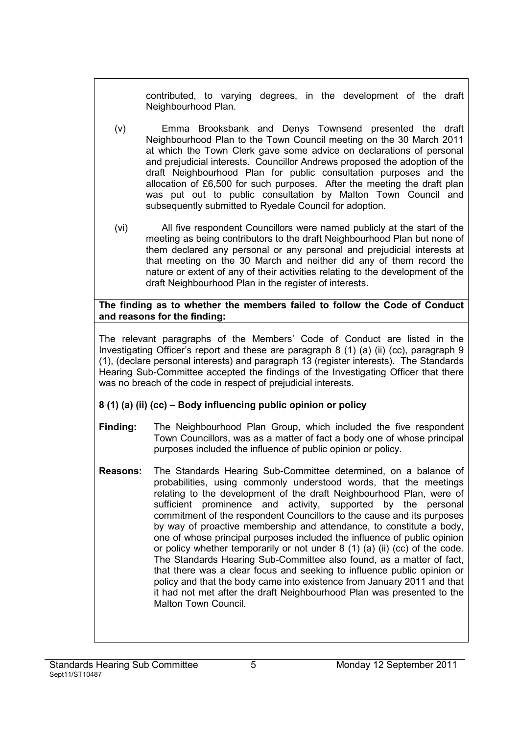contributed, to varying degrees, in the development of the draft Neighbourhood Plan.

- (v) Emma Brooksbank and Denys Townsend presented the draft Neighbourhood Plan to the Town Council meeting on the 30 March 2011 at which the Town Clerk gave some advice on declarations of personal and prejudicial interests. Councillor Andrews proposed the adoption of the draft Neighbourhood Plan for public consultation purposes and the allocation of £6,500 for such purposes. After the meeting the draft plan was put out to public consultation by Malton Town Council and subsequently submitted to Ryedale Council for adoption.
- (vi) All five respondent Councillors were named publicly at the start of the meeting as being contributors to the draft Neighbourhood Plan but none of them declared any personal or any personal and prejudicial interests at that meeting on the 30 March and neither did any of them record the nature or extent of any of their activities relating to the development of the draft Neighbourhood Plan in the register of interests.

#### The finding as to whether the members failed to follow the Code of Conduct and reasons for the finding:

The relevant paragraphs of the Members' Code of Conduct are listed in the Investigating Officer's report and these are paragraph 8 (1) (a) (ii) (cc), paragraph 9 (1), (declare personal interests) and paragraph 13 (register interests). The Standards Hearing Sub-Committee accepted the findings of the Investigating Officer that there was no breach of the code in respect of prejudicial interests.

### 8 (1) (a) (ii) (cc) – Body influencing public opinion or policy

- Finding: The Neighbourhood Plan Group, which included the five respondent Town Councillors, was as a matter of fact a body one of whose principal purposes included the influence of public opinion or policy.
- Reasons: The Standards Hearing Sub-Committee determined, on a balance of probabilities, using commonly understood words, that the meetings relating to the development of the draft Neighbourhood Plan, were of sufficient prominence and activity, supported by the personal commitment of the respondent Councillors to the cause and its purposes by way of proactive membership and attendance, to constitute a body, one of whose principal purposes included the influence of public opinion or policy whether temporarily or not under 8 (1) (a) (ii) (cc) of the code. The Standards Hearing Sub-Committee also found, as a matter of fact, that there was a clear focus and seeking to influence public opinion or policy and that the body came into existence from January 2011 and that it had not met after the draft Neighbourhood Plan was presented to the Malton Town Council.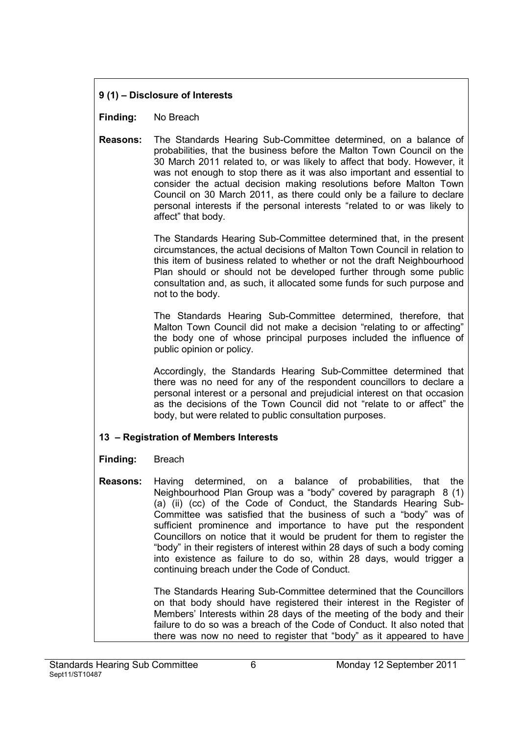### 9 (1) – Disclosure of Interests

Finding: No Breach

Reasons: The Standards Hearing Sub-Committee determined, on a balance of probabilities, that the business before the Malton Town Council on the 30 March 2011 related to, or was likely to affect that body. However, it was not enough to stop there as it was also important and essential to consider the actual decision making resolutions before Malton Town Council on 30 March 2011, as there could only be a failure to declare personal interests if the personal interests "related to or was likely to affect" that body.

> The Standards Hearing Sub-Committee determined that, in the present circumstances, the actual decisions of Malton Town Council in relation to this item of business related to whether or not the draft Neighbourhood Plan should or should not be developed further through some public consultation and, as such, it allocated some funds for such purpose and not to the body.

> The Standards Hearing Sub-Committee determined, therefore, that Malton Town Council did not make a decision "relating to or affecting" the body one of whose principal purposes included the influence of public opinion or policy.

> Accordingly, the Standards Hearing Sub-Committee determined that there was no need for any of the respondent councillors to declare a personal interest or a personal and prejudicial interest on that occasion as the decisions of the Town Council did not "relate to or affect" the body, but were related to public consultation purposes.

### 13 – Registration of Members Interests

### Finding: Breach

Reasons: Having determined, on a balance of probabilities, that the Neighbourhood Plan Group was a "body" covered by paragraph 8 (1) (a) (ii) (cc) of the Code of Conduct, the Standards Hearing Sub-Committee was satisfied that the business of such a "body" was of sufficient prominence and importance to have put the respondent Councillors on notice that it would be prudent for them to register the "body" in their registers of interest within 28 days of such a body coming into existence as failure to do so, within 28 days, would trigger a continuing breach under the Code of Conduct.

> The Standards Hearing Sub-Committee determined that the Councillors on that body should have registered their interest in the Register of Members' Interests within 28 days of the meeting of the body and their failure to do so was a breach of the Code of Conduct. It also noted that there was now no need to register that "body" as it appeared to have